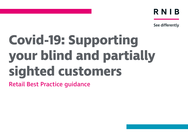RNIB

See differently

# **Covid-19: Supporting your blind and partially sighted customers**

Retail Best Practice guidance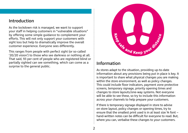## Introduction

As the lockdown risk is managed, we want to support your staff in helping customers in "vulnerable situations" by offering some simple guidance to complement your efforts. This will not only support your customers with sight loss but help to dramatically improve the overall customer experience. Everyone sees differently.

This ranges from people with perfect sight (or so-called '20/20 vision') to those who see darkness or nothing at all. That said, 93 per cent of people who are registered blind or partially sighted can see something, which can come as a surprise to the general public.



## Information

As stores adapt to the situation, providing up-to-date information about any provisions being put in place is key. It is important to share what physical changes you are making within the store environment, as well as policy changes. This could include floor indicators, payment zone protective screens, temporary signage, priority opening times and changes to store layouts/one-way systems. Not everyone will be able to see these, so try to include this information across your channels to help prepare your customers.

If there is temporary signage displayed in store to advise on store layout, policy changes or opening times, try to ensure that the smallest print used is in at least size 14 font – hand-written notes can be difficult for everyone to read. But, where you can, verbalise these changes to your customers.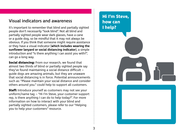## Visual indicators and awareness

It's important to remember that blind and partially sighted people don't necessarily "look blind". Not all blind and partially sighted people wear dark glasses, have a cane or a guide dog, so be mindful that it may not always be obvious. If you think that someone might require assistance or they have a visual indicator (**which includes wearing the sunflower lanyard or social distancing indicator**), a simple introduction and "Is there anything I can assist you with?", can go a long way.

**Social distancing:** From our research, we found that almost two thirds of blind or partially sighted people say they've found maintaining a social distance difficult – guide dogs are amazing animals, but they are unaware that social distancing is in force. Potential announcements such as: "Please maintain your social distance and consider others around you." could help to support all customers.

**Staff:** Introduce yourself as customers may not see your uniform/name tag – "Hi I'm Steve, your customer support rep, is there anything I can do to help today?". For more information on how to interact with your blind and partially sighted customers, please refer to our "Helping you to help your customers" resource.

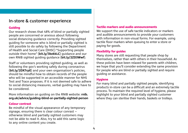## In-store & customer experience

## **Guiding**

Our research shows that 48% of blind or partially sighted people are concerned or anxious about following social distancing guidance correctly. Providing sighted guiding for someone who is blind or partially sighted is still possible to do safely by following the Department of Health and Social Care (DHSC) "Supporting people outside their home" (**[bit.ly/3kekkLC](https://bit.ly/3kekkLC)**) guidance and our own RNIB sighted guiding guidance (**[bit.ly/2ZD3Wwf](https://bit.ly/2ZD3Wwf)**).

Staff or volunteers providing sighted guiding, as well as following the gov's working safely during coronavirus (**[bit.ly/2DX7rpE](https://bit.ly/2DX7rpE)**) and your own organisation's policies, should be mindful how to obtain records of the people who will be supported in an accessible manner for NHS Test and Trace proposes. If it is not deemed safe to adhere to social distancing measures, verbal guiding may have to be considered.

More information on guiding on the RNIB website: **[rnib.](http://rnib.org.uk/advice/guiding-blind-or-partially-sighted-person) [org.uk/advice/guiding-blind-or-partially-sighted-person](http://rnib.org.uk/advice/guiding-blind-or-partially-sighted-person)**

#### **Colour contrast**

Be mindful of the visual appearance of any temporary signage, ensuring there is clear colour conrast – otherwise blind and partially sighted customers may not be able to read it. Also, try to add this same logic to any online content you create.

#### **Tactile markers and audio announcements**

We support the use of safe tactile indicators or markers and audible announcements to provide your customers with information in non-visual forms. For example, using tactile floor markers when queuing to enter a store or paying for goods.

## **Flexibility for guides**

Many stores are still requesting that people shop by themselves, rather than with others in their household. As these policies have been relaxed for parents with children, we hope that you'll consider extending the same provision for people who are blind or partially sighted and require guiding or assistance.

#### **Hygiene**

For many blind and partially sighted people, identifying products in-store can be a difficult and an extremely tactile process. To maintain the required level of hygiene, please highlight to your blind and partially sighted customer where they can sterilise their hands, baskets or trolleys.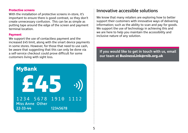#### **Protective screens**

With the installation of protective screens in-store, it's important to ensure there is good contrast, so they don't create unnecessary confusion. This can be as simple as putting tape around the edge of the screen and payment terminal location.

#### **Payment**

We support the use of contactless payment and the increased £45 limit, along with the smart device payments in some stores. However, for those that need to use cash, be aware that suggesting that this can only be done via a self-service checkout could prove difficult for some customers living with sight loss.



# Innovative accessible solutions

We know that many retailers are exploring how to better support their customers with innovative ways of delivering information; such as the ability to scan and pay for goods. We support the use of technology in achieving this and we are here to help you maintain the accessibility and inclusive nature of any solution.

**If you would like to get in touch with us, email our team at [BusinessLink@rnib.org.uk](mailto:BusinessLink@rnib.org.uk)**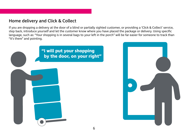## Home delivery and Click & Collect

If you are dropping a delivery at the door of a blind or partially sighted customer, or providing a 'Click & Collect' service, step back, introduce yourself and let the customer know where you have placed the package or delivery. Using specific language, such as: "Your shopping is in several bags to your left in the porch" will be far easier for someone to track than "It's there" and pointing.



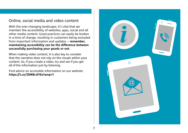## Online, social media and video content

With the ever-changing landscape, it's vital that we maintain the accessibility of websites, apps, social and all other media content. Good practices can easily be broken in a time of change, resulting in customers being excluded from important information and updates – **remember, maintaining accessibility can be the difference between successfully purchasing your goods or not**.

When making video content, it is also key to consider that the narrative does not rely on the visuals within your content. So, if you create a video, try and see if you get all of the information just by listening.

Find advice on accessible information on our website: **<https://t.co/5DN8rzlY6x?amp=1>**